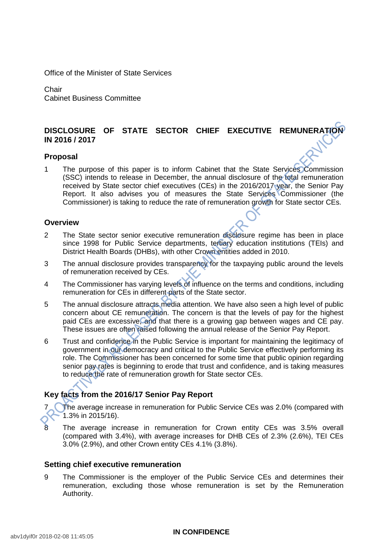Office of the Minister of State Services

**Chair** Cabinet Business Committee

# **DISCLOSURE OF STATE SECTOR CHIEF EXECUTIVE REMUNERATION IN 2016 / 2017**

# **Proposal**

1 The purpose of this paper is to inform Cabinet that the State Services Commission (SSC) intends to release in December, the annual disclosure of the total remuneration received by State sector chief executives (CEs) in the 2016/2017 year, the Senior Pay Report. It also advises you of measures the State Services Commissioner (the Commissioner) is taking to reduce the rate of remuneration growth for State sector CEs.

#### **Overview**

- 2 The State sector senior executive remuneration disclosure regime has been in place since 1998 for Public Service departments, tertiary education institutions (TEIs) and District Health Boards (DHBs), with other Crown entities added in 2010.
- 3 The annual disclosure provides transparency for the taxpaying public around the levels of remuneration received by CEs.
- 4 The Commissioner has varying levels of influence on the terms and conditions, including remuneration for CEs in different parts of the State sector.
- 5 The annual disclosure attracts media attention. We have also seen a high level of public concern about CE remuneration. The concern is that the levels of pay for the highest paid CEs are excessive, and that there is a growing gap between wages and CE pay. These issues are often raised following the annual release of the Senior Pay Report.
- 6 Trust and confidence in the Public Service is important for maintaining the legitimacy of government in our democracy and critical to the Public Service effectively performing its role. The Commissioner has been concerned for some time that public opinion regarding senior pay rates is beginning to erode that trust and confidence, and is taking measures to reduce the rate of remuneration growth for State sector CEs.

# **Key facts from the 2016/17 Senior Pay Report**

The average increase in remuneration for Public Service CEs was 2.0% (compared with 1.3% in 2015/16).

The average increase in remuneration for Crown entity CEs was 3.5% overall (compared with 3.4%), with average increases for DHB CEs of 2.3% (2.6%), TEI CEs 3.0% (2.9%), and other Crown entity CEs 4.1% (3.8%).

# **Setting chief executive remuneration**

9 The Commissioner is the employer of the Public Service CEs and determines their remuneration, excluding those whose remuneration is set by the Remuneration Authority.

#### **IN CONFIDENCE**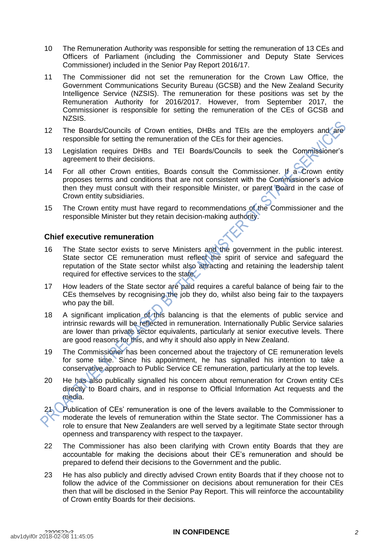- 10 The Remuneration Authority was responsible for setting the remuneration of 13 CEs and Officers of Parliament (including the Commissioner and Deputy State Services Commissioner) included in the Senior Pay Report 2016/17.
- 11 The Commissioner did not set the remuneration for the Crown Law Office, the Government Communications Security Bureau (GCSB) and the New Zealand Security Intelligence Service (NZSIS). The remuneration for these positions was set by the Remuneration Authority for 2016/2017. However, from September 2017, the Commissioner is responsible for setting the remuneration of the CEs of GCSB and NZSIS.
- 12 The Boards/Councils of Crown entities, DHBs and TEIs are the employers and are responsible for setting the remuneration of the CEs for their agencies.
- 13 Legislation requires DHBs and TEI Boards/Councils to seek the Commissioner's agreement to their decisions.
- 14 For all other Crown entities, Boards consult the Commissioner. If a Crown entity proposes terms and conditions that are not consistent with the Commissioner's advice then they must consult with their responsible Minister, or parent Board in the case of Crown entity subsidiaries.
- 15 The Crown entity must have regard to recommendations of the Commissioner and the responsible Minister but they retain decision-making authority.

### **Chief executive remuneration**

- 16 The State sector exists to serve Ministers and the government in the public interest. State sector CE remuneration must reflect the spirit of service and safeguard the reputation of the State sector whilst also attracting and retaining the leadership talent required for effective services to the state.
- 17 How leaders of the State sector are paid requires a careful balance of being fair to the CEs themselves by recognising the job they do, whilst also being fair to the taxpayers who pay the bill.
- 18 A significant implication of this balancing is that the elements of public service and intrinsic rewards will be reflected in remuneration. Internationally Public Service salaries are lower than private sector equivalents, particularly at senior executive levels. There are good reasons for this, and why it should also apply in New Zealand.
- 19 The Commissioner has been concerned about the trajectory of CE remuneration levels for some time. Since his appointment, he has signalled his intention to take a conservative approach to Public Service CE remuneration, particularly at the top levels.
- 20 He has also publically signalled his concern about remuneration for Crown entity CEs directly to Board chairs, and in response to Official Information Act requests and the media.
- 21 Publication of CEs' remuneration is one of the levers available to the Commissioner to moderate the levels of remuneration within the State sector. The Commissioner has a role to ensure that New Zealanders are well served by a legitimate State sector through openness and transparency with respect to the taxpayer.
- 22 The Commissioner has also been clarifying with Crown entity Boards that they are accountable for making the decisions about their CE's remuneration and should be prepared to defend their decisions to the Government and the public.
- 23 He has also publicly and directly advised Crown entity Boards that if they choose not to follow the advice of the Commissioner on decisions about remuneration for their CEs then that will be disclosed in the Senior Pay Report. This will reinforce the accountability of Crown entity Boards for their decisions.

### *2300522v3* **IN CONFIDENCE** *2*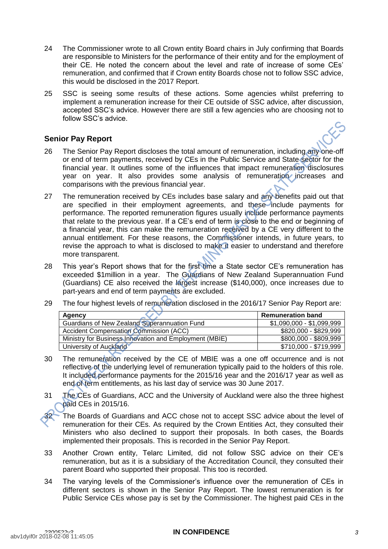- 24 The Commissioner wrote to all Crown entity Board chairs in July confirming that Boards are responsible to Ministers for the performance of their entity and for the employment of their CE. He noted the concern about the level and rate of increase of some CEs' remuneration, and confirmed that if Crown entity Boards chose not to follow SSC advice, this would be disclosed in the 2017 Report.
- 25 SSC is seeing some results of these actions. Some agencies whilst preferring to implement a remuneration increase for their CE outside of SSC advice, after discussion, accepted SSC's advice. However there are still a few agencies who are choosing not to follow SSC's advice.

# **Senior Pay Report**

- 26 The Senior Pay Report discloses the total amount of remuneration, including any one-off or end of term payments, received by CEs in the Public Service and State sector for the financial year. It outlines some of the influences that impact remuneration disclosures year on year. It also provides some analysis of remuneration increases and comparisons with the previous financial year.
- 27 The remuneration received by CEs includes base salary and any benefits paid out that are specified in their employment agreements, and these include payments for performance. The reported remuneration figures usually include performance payments that relate to the previous year. If a CE's end of term is close to the end or beginning of a financial year, this can make the remuneration received by a CE very different to the annual entitlement. For these reasons, the Commissioner intends, in future years, to revise the approach to what is disclosed to make it easier to understand and therefore more transparent.
- 28 This year's Report shows that for the first time a State sector CE's remuneration has exceeded \$1million in a year. The Guardians of New Zealand Superannuation Fund (Guardians) CE also received the largest increase (\$140,000), once increases due to part-years and end of term payments are excluded.
- 29 The four highest levels of remuneration disclosed in the 2016/17 Senior Pay Report are:

| Agency                                                 | <b>Remuneration band</b>  |
|--------------------------------------------------------|---------------------------|
| <b>Guardians of New Zealand Superannuation Fund</b>    | \$1,090,000 - \$1,099,999 |
| <b>Accident Compensation Commission (ACC)</b>          | \$820,000 - \$829,999     |
| Ministry for Business Innovation and Employment (MBIE) | \$800,000 - \$809,999     |
| University of Auckland                                 | \$710,000 - \$719,999     |

- 30 The remuneration received by the CE of MBIE was a one off occurrence and is not reflective of the underlying level of remuneration typically paid to the holders of this role. It included performance payments for the 2015/16 year and the 2016/17 year as well as end of term entitlements, as his last day of service was 30 June 2017.
- 31 The CEs of Guardians, ACC and the University of Auckland were also the three highest paid CEs in 2015/16.
	- The Boards of Guardians and ACC chose not to accept SSC advice about the level of remuneration for their CEs. As required by the Crown Entities Act, they consulted their Ministers who also declined to support their proposals. In both cases, the Boards implemented their proposals. This is recorded in the Senior Pay Report.
- 33 Another Crown entity, Telarc Limited, did not follow SSC advice on their CE's remuneration, but as it is a subsidiary of the Accreditation Council, they consulted their parent Board who supported their proposal. This too is recorded.
- 34 The varying levels of the Commissioner's influence over the remuneration of CEs in different sectors is shown in the Senior Pay Report. The lowest remuneration is for Public Service CEs whose pay is set by the Commissioner. The highest paid CEs in the

#### *2300522v3* **IN CONFIDENCE** *3*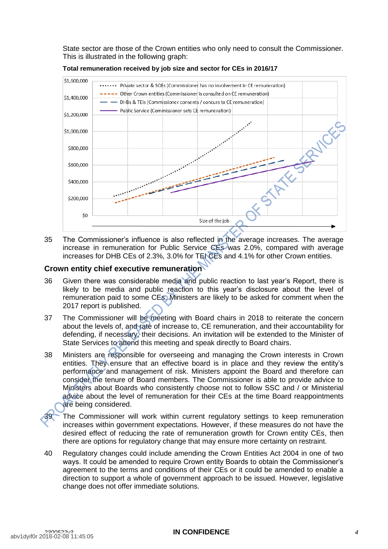State sector are those of the Crown entities who only need to consult the Commissioner. This is illustrated in the following graph:



**Total remuneration received by job size and sector for CEs in 2016/17** 

35 The Commissioner's influence is also reflected in the average increases. The average increase in remuneration for Public Service CEs was 2.0%, compared with average increases for DHB CEs of 2.3%, 3.0% for TEI CEs and 4.1% for other Crown entities.

# **Crown entity chief executive remuneration**

- 36 Given there was considerable media and public reaction to last year's Report, there is likely to be media and public reaction to this year's disclosure about the level of remuneration paid to some CEs. Ministers are likely to be asked for comment when the 2017 report is published.
- 37 The Commissioner will be meeting with Board chairs in 2018 to reiterate the concern about the levels of, and rate of increase to, CE remuneration, and their accountability for defending, if necessary, their decisions. An invitation will be extended to the Minister of State Services to attend this meeting and speak directly to Board chairs.
- 38 Ministers are responsible for overseeing and managing the Crown interests in Crown entities. They ensure that an effective board is in place and they review the entity's performance and management of risk. Ministers appoint the Board and therefore can consider the tenure of Board members. The Commissioner is able to provide advice to Ministers about Boards who consistently choose not to follow SSC and / or Ministerial advice about the level of remuneration for their CEs at the time Board reappointments are being considered.
	- The Commissioner will work within current regulatory settings to keep remuneration increases within government expectations. However, if these measures do not have the desired effect of reducing the rate of remuneration growth for Crown entity CEs, then there are options for regulatory change that may ensure more certainty on restraint.
- 40 Regulatory changes could include amending the Crown Entities Act 2004 in one of two ways. It could be amended to require Crown entity Boards to obtain the Commissioner's agreement to the terms and conditions of their CEs or it could be amended to enable a direction to support a whole of government approach to be issued. However, legislative change does not offer immediate solutions.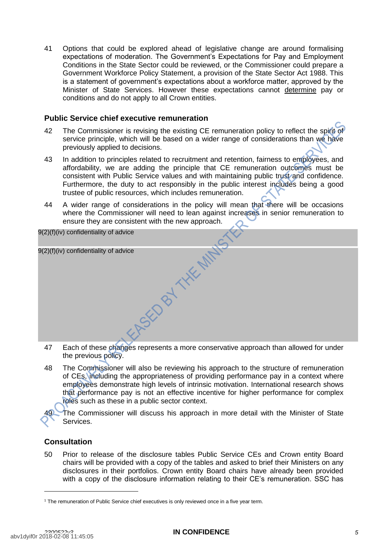41 Options that could be explored ahead of legislative change are around formalising expectations of moderation. The Government's Expectations for Pay and Employment Conditions in the State Sector could be reviewed, or the Commissioner could prepare a Government Workforce Policy Statement, a provision of the State Sector Act 1988. This is a statement of government's expectations about a workforce matter, approved by the Minister of State Services. However these expectations cannot determine pay or conditions and do not apply to all Crown entities.

# **Public Service chief executive remuneration**

- 42 The Commissioner is revising the existing CE remuneration policy to reflect the spirit of service principle, which will be based on a wider range of considerations than we have previously applied to decisions.
- 43 In addition to principles related to recruitment and retention, fairness to employees, and affordability, we are adding the principle that CE remuneration outcomes must be consistent with Public Service values and with maintaining public trust and confidence. Furthermore, the duty to act responsibly in the public interest includes being a good trustee of public resources, which includes remuneration.
- 44 A wider range of considerations in the policy will mean that there will be occasions where the Commissioner will need to lean against increases in senior remuneration to ensure they are consistent with the new approach.

9(2)(f)(iv) confidentiality of advice

| 9(2)(f)(iv) confidentiality of advice |                                                                                      |
|---------------------------------------|--------------------------------------------------------------------------------------|
|                                       |                                                                                      |
|                                       |                                                                                      |
|                                       |                                                                                      |
|                                       |                                                                                      |
|                                       |                                                                                      |
|                                       |                                                                                      |
|                                       |                                                                                      |
| 47                                    | Each of these changes represents a more conservative approach than allowed for under |

- 47 Fach of these changes represents a more conservative approacn than the previous policy.
- 48 The Commissioner will also be reviewing his approach to the structure of remuneration of CEs, including the appropriateness of providing performance pay in a context where employees demonstrate high levels of intrinsic motivation. International research shows that performance pay is not an effective incentive for higher performance for complex roles such as these in a public sector context.

The Commissioner will discuss his approach in more detail with the Minister of State Services.

# **Consultation**

50 Prior to release of the disclosure tables Public Service CEs and Crown entity Board chairs will be provided with a copy of the tables and asked to brief their Ministers on any disclosures in their portfolios. Crown entity Board chairs have already been provided with a copy of the disclosure information relating to their CE's remuneration. SSC has

<sup>&</sup>lt;sup>1</sup> The remuneration of Public Service chief executives is only reviewed once in a five year term.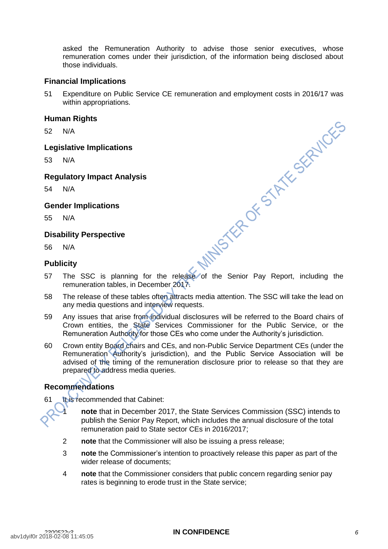asked the Remuneration Authority to advise those senior executives, whose remuneration comes under their jurisdiction, of the information being disclosed about those individuals.

# **Financial Implications**

51 Expenditure on Public Service CE remuneration and employment costs in 2016/17 was within appropriations.

# **Human Rights**

52 N/A

### **Legislative Implications**

53 N/A

# **Regulatory Impact Analysis**

54 N/A

# **Gender Implications**

55 N/A

# **Disability Perspective**

56 N/A

# **Publicity**

- $\begin{array}{ccc}\n\text{...} \text{or } \text{Perspective} \\
\text{S6} & \text{NA} \\
\text{Publicity} \\
\text{S7} & \text{The SSC is planning for the release of the Senior Pay Report, including the\n remuneration this is `Dscm-1`.\n$ remuneration tables, in December 2017.
- 58 The release of these tables often attracts media attention. The SSC will take the lead on any media questions and interview requests.
- 59 Any issues that arise from individual disclosures will be referred to the Board chairs of Crown entities, the State Services Commissioner for the Public Service, or the Remuneration Authority for those CEs who come under the Authority's jurisdiction.
- 60 Crown entity Board chairs and CEs, and non-Public Service Department CEs (under the Remuneration Authority's jurisdiction), and the Public Service Association will be advised of the timing of the remuneration disclosure prior to release so that they are prepared to address media queries.

# **Recommendations**

61 It is recommended that Cabinet:

1 **note** that in December 2017, the State Services Commission (SSC) intends to publish the Senior Pay Report, which includes the annual disclosure of the total remuneration paid to State sector CEs in 2016/2017;

- 2 **note** that the Commissioner will also be issuing a press release;
- 3 **note** the Commissioner's intention to proactively release this paper as part of the wider release of documents;
- 4 **note** that the Commissioner considers that public concern regarding senior pay rates is beginning to erode trust in the State service;

# *2300522v3* **IN CONFIDENCE** *6*